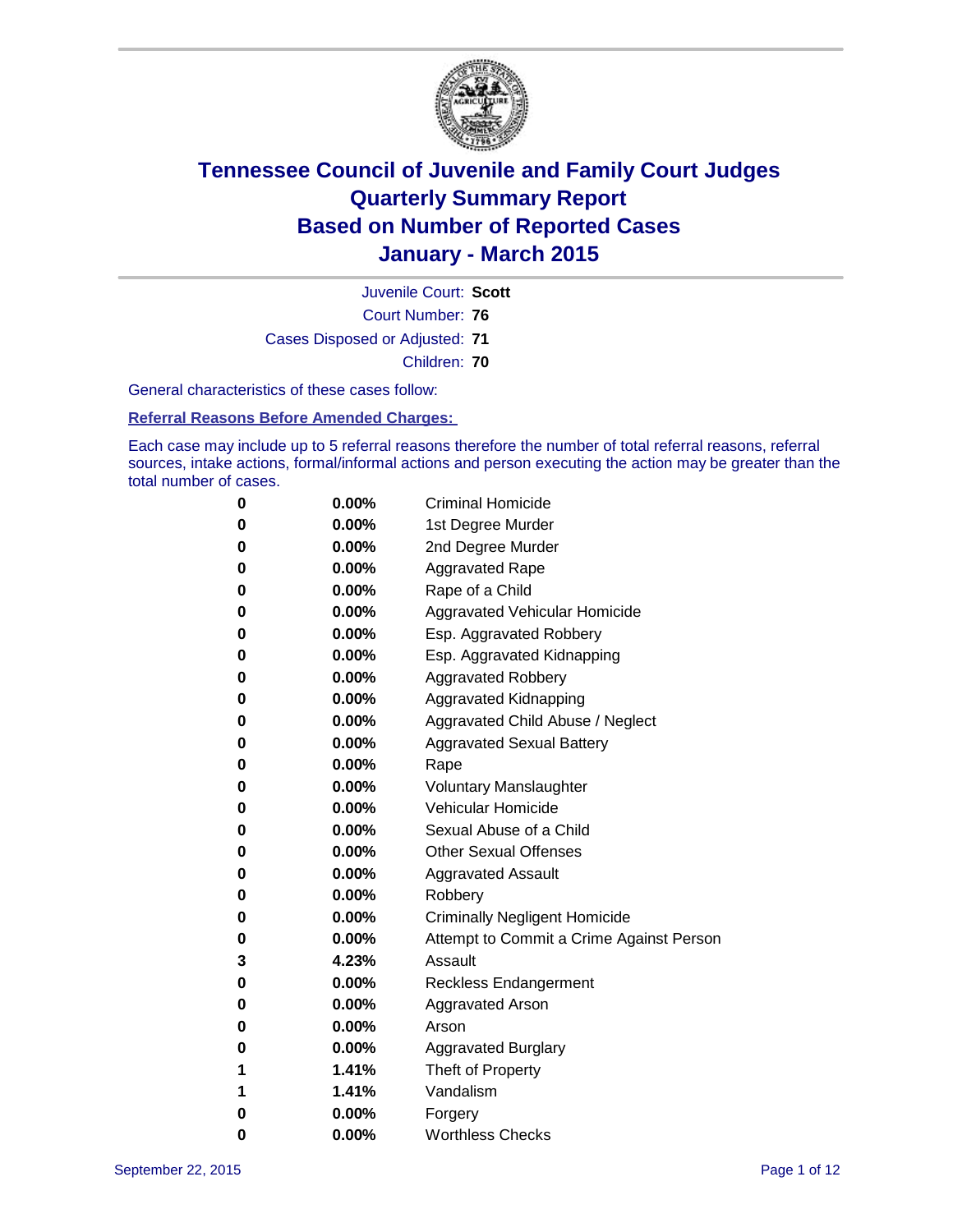

Court Number: **76** Juvenile Court: **Scott** Cases Disposed or Adjusted: **71** Children: **70**

General characteristics of these cases follow:

**Referral Reasons Before Amended Charges:** 

Each case may include up to 5 referral reasons therefore the number of total referral reasons, referral sources, intake actions, formal/informal actions and person executing the action may be greater than the total number of cases.

| 0        | $0.00\%$ | <b>Criminal Homicide</b>                 |
|----------|----------|------------------------------------------|
| 0        | $0.00\%$ | 1st Degree Murder                        |
| 0        | $0.00\%$ | 2nd Degree Murder                        |
| $\bf{0}$ | $0.00\%$ | <b>Aggravated Rape</b>                   |
| 0        | $0.00\%$ | Rape of a Child                          |
| 0        | $0.00\%$ | Aggravated Vehicular Homicide            |
| 0        | 0.00%    | Esp. Aggravated Robbery                  |
| 0        | $0.00\%$ | Esp. Aggravated Kidnapping               |
| 0        | $0.00\%$ | <b>Aggravated Robbery</b>                |
| $\bf{0}$ | $0.00\%$ | Aggravated Kidnapping                    |
| $\bf{0}$ | $0.00\%$ | Aggravated Child Abuse / Neglect         |
| 0        | $0.00\%$ | <b>Aggravated Sexual Battery</b>         |
| 0        | $0.00\%$ | Rape                                     |
| 0        | $0.00\%$ | <b>Voluntary Manslaughter</b>            |
| 0        | 0.00%    | <b>Vehicular Homicide</b>                |
| 0        | $0.00\%$ | Sexual Abuse of a Child                  |
| 0        | $0.00\%$ | <b>Other Sexual Offenses</b>             |
| $\bf{0}$ | $0.00\%$ | <b>Aggravated Assault</b>                |
| 0        | 0.00%    | Robbery                                  |
| 0        | $0.00\%$ | <b>Criminally Negligent Homicide</b>     |
| 0        | $0.00\%$ | Attempt to Commit a Crime Against Person |
| 3        | 4.23%    | Assault                                  |
| $\bf{0}$ | 0.00%    | <b>Reckless Endangerment</b>             |
| 0        | $0.00\%$ | <b>Aggravated Arson</b>                  |
| 0        | $0.00\%$ | Arson                                    |
| $\bf{0}$ | $0.00\%$ | <b>Aggravated Burglary</b>               |
| 1        | 1.41%    | Theft of Property                        |
| 1        | 1.41%    | Vandalism                                |
| $\bf{0}$ | $0.00\%$ | Forgery                                  |
| 0        | 0.00%    | <b>Worthless Checks</b>                  |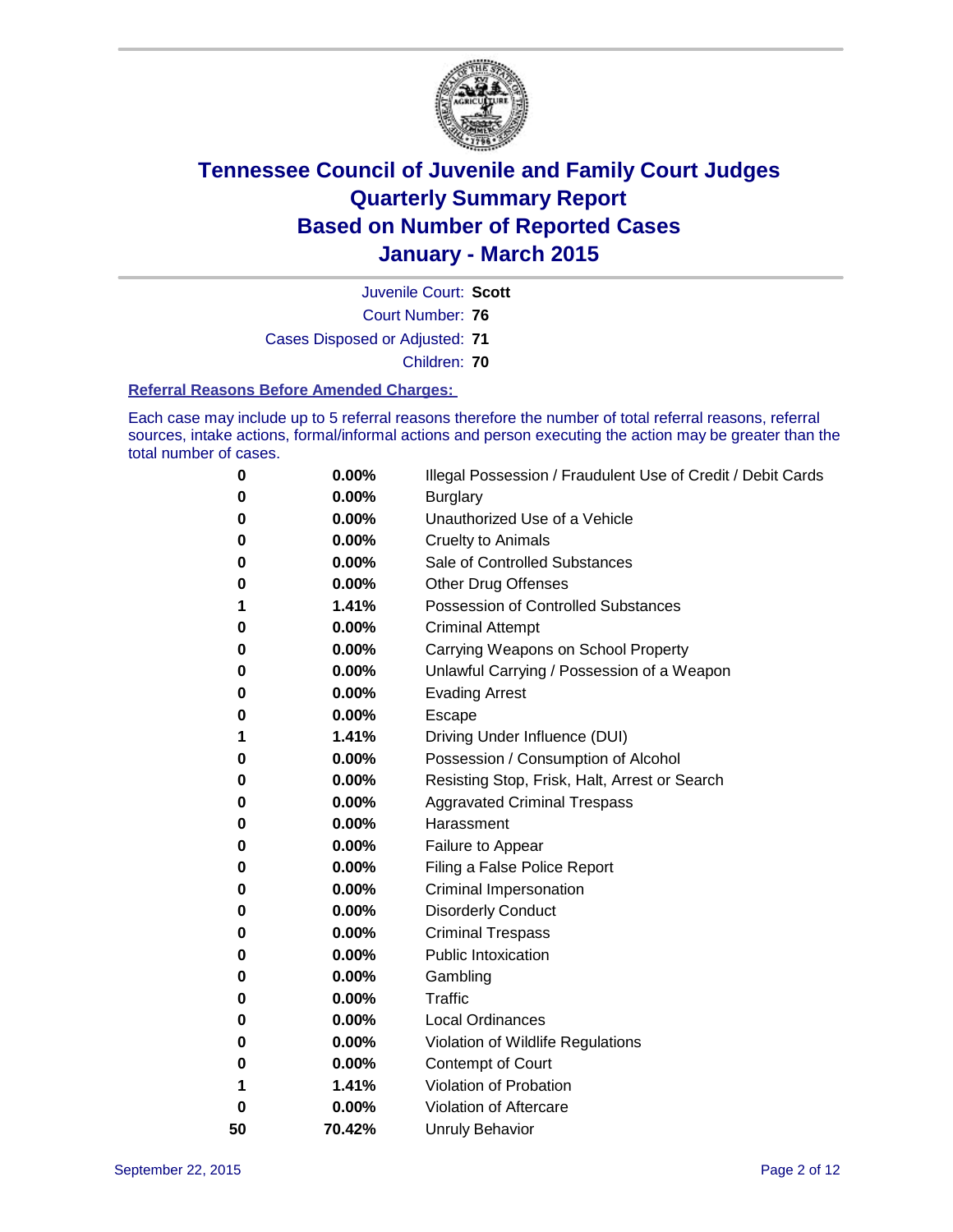

Court Number: **76** Juvenile Court: **Scott** Cases Disposed or Adjusted: **71** Children: **70**

#### **Referral Reasons Before Amended Charges:**

Each case may include up to 5 referral reasons therefore the number of total referral reasons, referral sources, intake actions, formal/informal actions and person executing the action may be greater than the total number of cases.

| 0  | 0.00%  | Illegal Possession / Fraudulent Use of Credit / Debit Cards |
|----|--------|-------------------------------------------------------------|
| 0  | 0.00%  | <b>Burglary</b>                                             |
| 0  | 0.00%  | Unauthorized Use of a Vehicle                               |
| 0  | 0.00%  | Cruelty to Animals                                          |
| 0  | 0.00%  | Sale of Controlled Substances                               |
| 0  | 0.00%  | Other Drug Offenses                                         |
| 1  | 1.41%  | <b>Possession of Controlled Substances</b>                  |
| 0  | 0.00%  | <b>Criminal Attempt</b>                                     |
| 0  | 0.00%  | Carrying Weapons on School Property                         |
| 0  | 0.00%  | Unlawful Carrying / Possession of a Weapon                  |
| 0  | 0.00%  | <b>Evading Arrest</b>                                       |
| 0  | 0.00%  | Escape                                                      |
| 1  | 1.41%  | Driving Under Influence (DUI)                               |
| 0  | 0.00%  | Possession / Consumption of Alcohol                         |
| 0  | 0.00%  | Resisting Stop, Frisk, Halt, Arrest or Search               |
| 0  | 0.00%  | <b>Aggravated Criminal Trespass</b>                         |
| 0  | 0.00%  | Harassment                                                  |
| 0  | 0.00%  | Failure to Appear                                           |
| 0  | 0.00%  | Filing a False Police Report                                |
| 0  | 0.00%  | <b>Criminal Impersonation</b>                               |
| 0  | 0.00%  | <b>Disorderly Conduct</b>                                   |
| 0  | 0.00%  | <b>Criminal Trespass</b>                                    |
| 0  | 0.00%  | <b>Public Intoxication</b>                                  |
| 0  | 0.00%  | Gambling                                                    |
| 0  | 0.00%  | <b>Traffic</b>                                              |
| 0  | 0.00%  | <b>Local Ordinances</b>                                     |
| 0  | 0.00%  | Violation of Wildlife Regulations                           |
| 0  | 0.00%  | Contempt of Court                                           |
| 1  | 1.41%  | Violation of Probation                                      |
| 0  | 0.00%  | Violation of Aftercare                                      |
| 50 | 70.42% | <b>Unruly Behavior</b>                                      |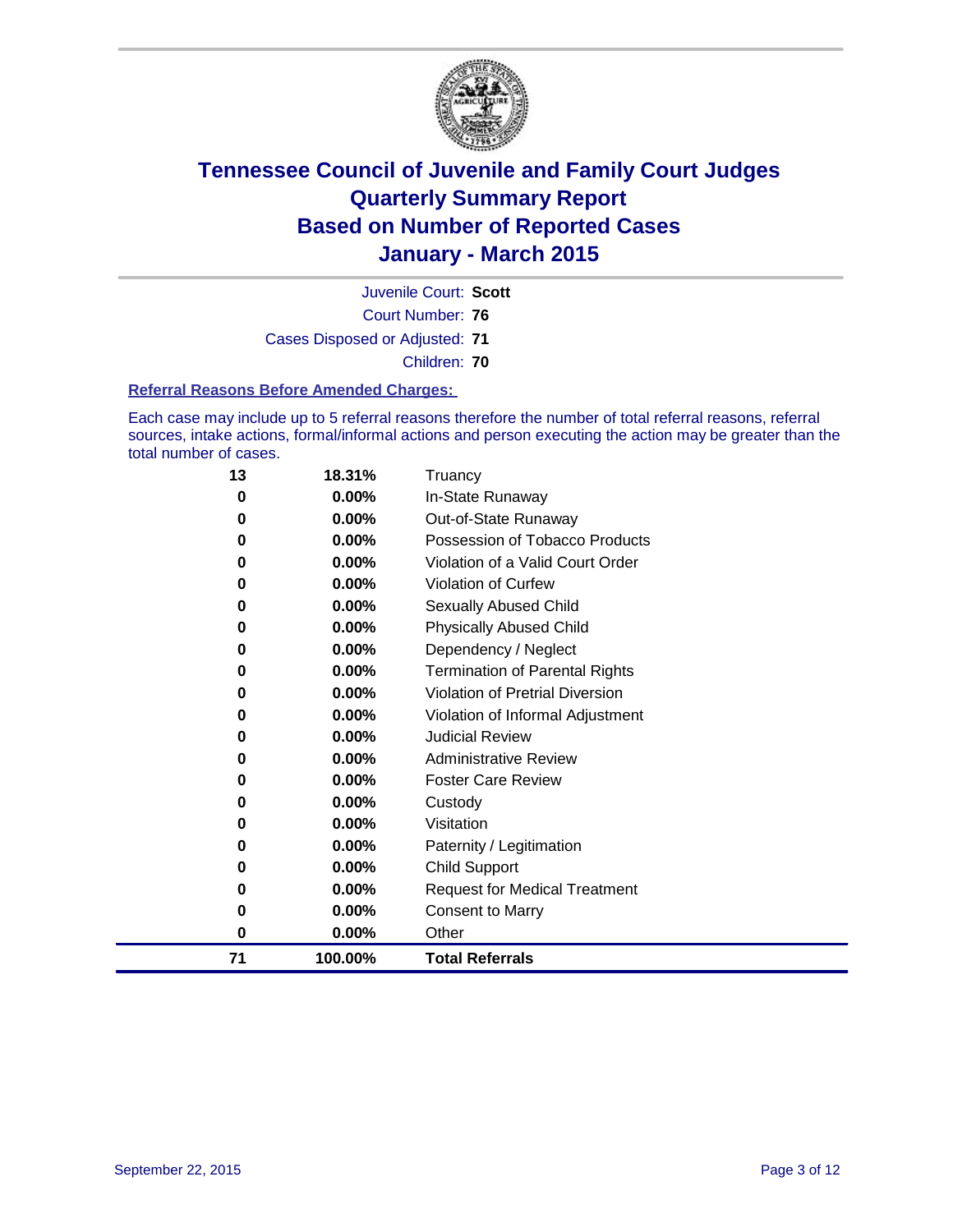

Court Number: **76** Juvenile Court: **Scott** Cases Disposed or Adjusted: **71** Children: **70**

#### **Referral Reasons Before Amended Charges:**

Each case may include up to 5 referral reasons therefore the number of total referral reasons, referral sources, intake actions, formal/informal actions and person executing the action may be greater than the total number of cases.

| 13       | 18.31%   | Truancy                               |
|----------|----------|---------------------------------------|
| 0        | 0.00%    | In-State Runaway                      |
| 0        | 0.00%    | Out-of-State Runaway                  |
| 0        | $0.00\%$ | Possession of Tobacco Products        |
| 0        | $0.00\%$ | Violation of a Valid Court Order      |
| 0        | $0.00\%$ | <b>Violation of Curfew</b>            |
| 0        | 0.00%    | Sexually Abused Child                 |
| 0        | 0.00%    | <b>Physically Abused Child</b>        |
| 0        | 0.00%    | Dependency / Neglect                  |
| 0        | 0.00%    | <b>Termination of Parental Rights</b> |
| 0        | $0.00\%$ | Violation of Pretrial Diversion       |
| 0        | 0.00%    | Violation of Informal Adjustment      |
| 0        | $0.00\%$ | <b>Judicial Review</b>                |
| 0        | $0.00\%$ | <b>Administrative Review</b>          |
| 0        | 0.00%    | <b>Foster Care Review</b>             |
| 0        | 0.00%    | Custody                               |
| 0        | $0.00\%$ | Visitation                            |
| 0        | $0.00\%$ | Paternity / Legitimation              |
| 0        | $0.00\%$ | <b>Child Support</b>                  |
| 0        | 0.00%    | <b>Request for Medical Treatment</b>  |
| 0        | 0.00%    | <b>Consent to Marry</b>               |
| $\bf{0}$ | 0.00%    | Other                                 |
| 71       | 100.00%  | <b>Total Referrals</b>                |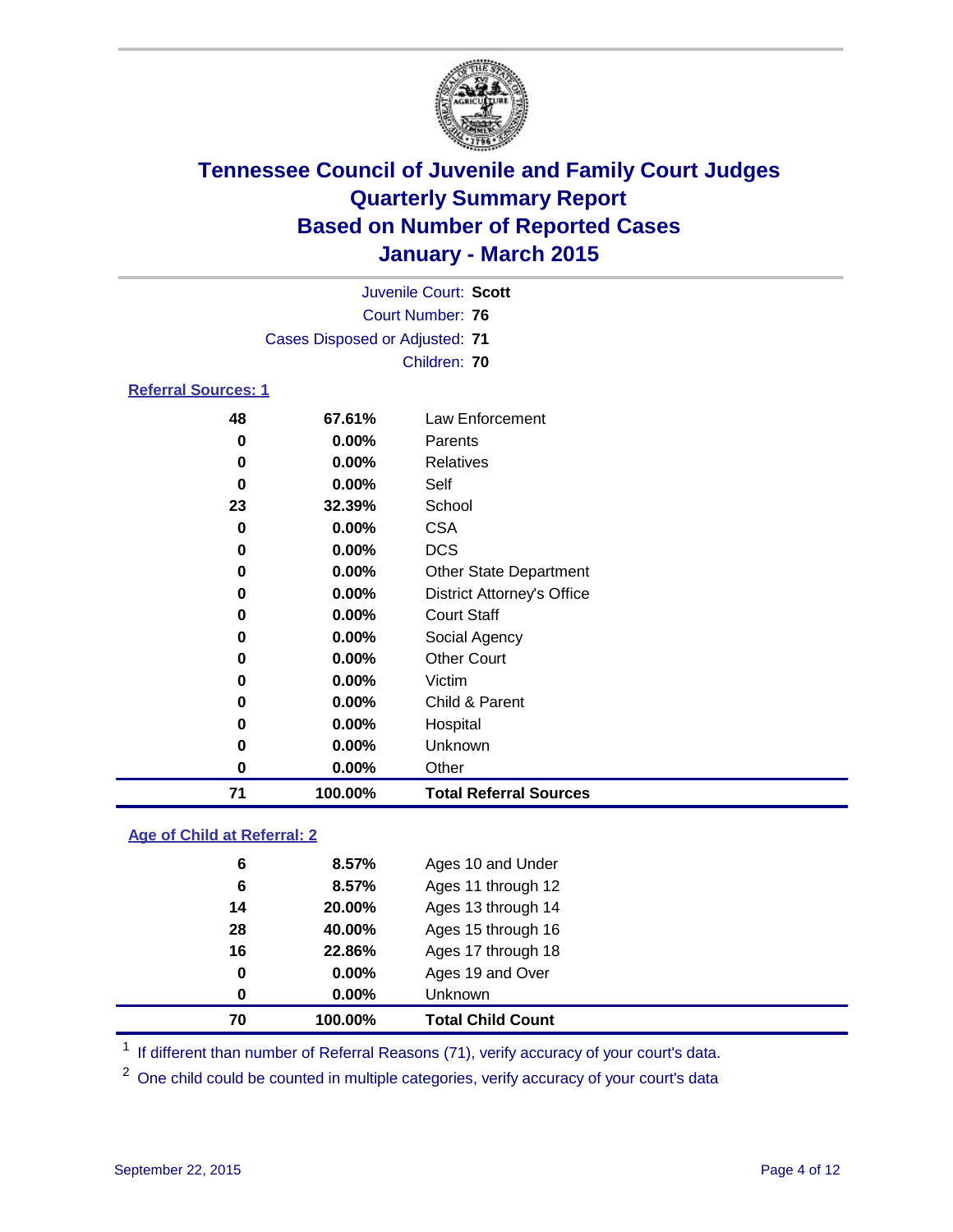

|     | Juvenile Court: Scott          |  |
|-----|--------------------------------|--|
|     | Court Number: 76               |  |
|     | Cases Disposed or Adjusted: 71 |  |
|     | Children: 70                   |  |
| . . |                                |  |

#### **Referral Sources: 1**

| 71 | 100.00%  | <b>Total Referral Sources</b>     |
|----|----------|-----------------------------------|
| 0  | $0.00\%$ | Other                             |
| 0  | $0.00\%$ | Unknown                           |
| 0  | $0.00\%$ | Hospital                          |
| 0  | 0.00%    | Child & Parent                    |
| 0  | $0.00\%$ | Victim                            |
| 0  | $0.00\%$ | <b>Other Court</b>                |
| 0  | $0.00\%$ | Social Agency                     |
| 0  | $0.00\%$ | <b>Court Staff</b>                |
| 0  | $0.00\%$ | <b>District Attorney's Office</b> |
| 0  | $0.00\%$ | <b>Other State Department</b>     |
| 0  | $0.00\%$ | <b>DCS</b>                        |
| 0  | $0.00\%$ | <b>CSA</b>                        |
| 23 | 32.39%   | School                            |
| 0  | 0.00%    | Self                              |
| 0  | $0.00\%$ | <b>Relatives</b>                  |
| 0  | $0.00\%$ | Parents                           |
| 48 | 67.61%   | Law Enforcement                   |

#### **Age of Child at Referral: 2**

| 70 | 100.00%  | <b>Total Child Count</b> |
|----|----------|--------------------------|
| 0  | $0.00\%$ | Unknown                  |
| 0  | $0.00\%$ | Ages 19 and Over         |
| 16 | 22.86%   | Ages 17 through 18       |
| 28 | 40.00%   | Ages 15 through 16       |
| 14 | 20.00%   | Ages 13 through 14       |
| 6  | 8.57%    | Ages 11 through 12       |
| 6  | 8.57%    | Ages 10 and Under        |

<sup>1</sup> If different than number of Referral Reasons (71), verify accuracy of your court's data.

One child could be counted in multiple categories, verify accuracy of your court's data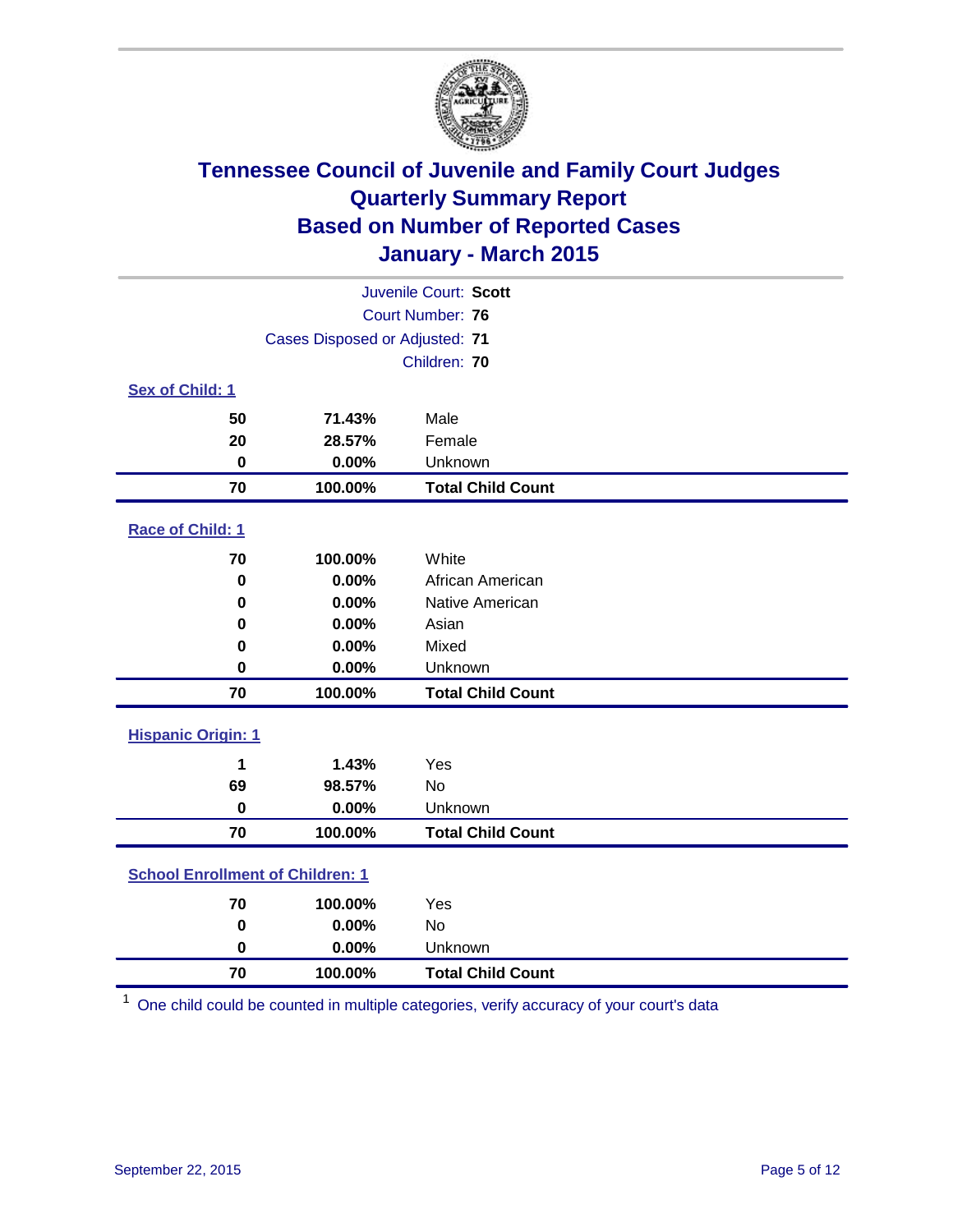

| Juvenile Court: Scott                   |                                |                          |  |  |
|-----------------------------------------|--------------------------------|--------------------------|--|--|
| <b>Court Number: 76</b>                 |                                |                          |  |  |
|                                         | Cases Disposed or Adjusted: 71 |                          |  |  |
|                                         |                                | Children: 70             |  |  |
| <b>Sex of Child: 1</b>                  |                                |                          |  |  |
| 50                                      | 71.43%                         | Male                     |  |  |
| 20                                      | 28.57%                         | Female                   |  |  |
| 0                                       | 0.00%                          | Unknown                  |  |  |
| 70                                      | 100.00%                        | <b>Total Child Count</b> |  |  |
| Race of Child: 1                        |                                |                          |  |  |
| 70                                      | 100.00%                        | White                    |  |  |
| $\bf{0}$                                | 0.00%                          | African American         |  |  |
| $\bf{0}$                                | 0.00%                          | Native American          |  |  |
| 0                                       | 0.00%                          | Asian                    |  |  |
| 0                                       | 0.00%                          | Mixed                    |  |  |
| $\mathbf 0$                             | 0.00%                          | Unknown                  |  |  |
| 70                                      | 100.00%                        | <b>Total Child Count</b> |  |  |
| <b>Hispanic Origin: 1</b>               |                                |                          |  |  |
| 1                                       | 1.43%                          | Yes                      |  |  |
| 69                                      | 98.57%                         | <b>No</b>                |  |  |
| $\mathbf 0$                             | 0.00%                          | Unknown                  |  |  |
| 70                                      | 100.00%                        | <b>Total Child Count</b> |  |  |
| <b>School Enrollment of Children: 1</b> |                                |                          |  |  |
| 70                                      | 100.00%                        | Yes                      |  |  |
| $\mathbf 0$                             | 0.00%                          | <b>No</b>                |  |  |
| 0                                       | 0.00%                          | Unknown                  |  |  |
| 70                                      | 100.00%                        | <b>Total Child Count</b> |  |  |

One child could be counted in multiple categories, verify accuracy of your court's data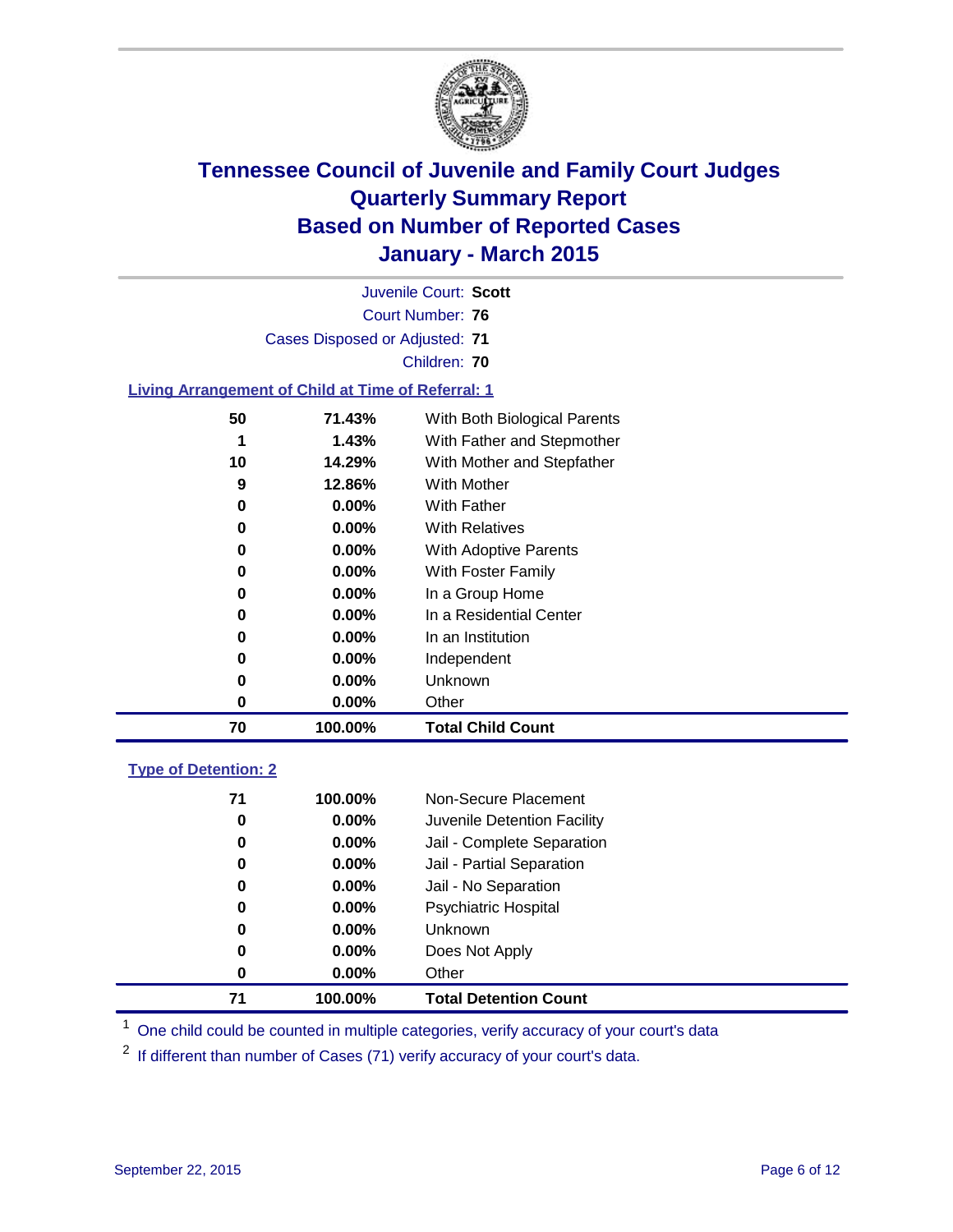

| Juvenile Court: Scott                                     |                                |                              |  |  |
|-----------------------------------------------------------|--------------------------------|------------------------------|--|--|
| Court Number: 76                                          |                                |                              |  |  |
|                                                           | Cases Disposed or Adjusted: 71 |                              |  |  |
|                                                           |                                | Children: 70                 |  |  |
| <b>Living Arrangement of Child at Time of Referral: 1</b> |                                |                              |  |  |
| 50                                                        | 71.43%                         | With Both Biological Parents |  |  |
| 1                                                         | 1.43%                          | With Father and Stepmother   |  |  |
| 10                                                        | 14.29%                         | With Mother and Stepfather   |  |  |
| 9                                                         | 12.86%                         | <b>With Mother</b>           |  |  |
| 0                                                         | $0.00\%$                       | <b>With Father</b>           |  |  |
| 0                                                         | $0.00\%$                       | <b>With Relatives</b>        |  |  |
| 0                                                         | $0.00\%$                       | With Adoptive Parents        |  |  |
| 0                                                         | $0.00\%$                       | With Foster Family           |  |  |
| 0                                                         | $0.00\%$                       | In a Group Home              |  |  |
| 0                                                         | $0.00\%$                       | In a Residential Center      |  |  |
| 0                                                         | $0.00\%$                       | In an Institution            |  |  |
| 0                                                         | $0.00\%$                       | Independent                  |  |  |
| 0                                                         | $0.00\%$                       | Unknown                      |  |  |
| 0                                                         | $0.00\%$                       | Other                        |  |  |
| 70                                                        | 100.00%                        | <b>Total Child Count</b>     |  |  |
| <b>Type of Detention: 2</b>                               |                                |                              |  |  |
| 71                                                        | 100 00%                        | Non-Secure Placement         |  |  |

| 71 | 100.00%  | <b>Total Detention Count</b> |
|----|----------|------------------------------|
| 0  | $0.00\%$ | Other                        |
| 0  | $0.00\%$ | Does Not Apply               |
| 0  | $0.00\%$ | <b>Unknown</b>               |
| 0  | $0.00\%$ | <b>Psychiatric Hospital</b>  |
| 0  | $0.00\%$ | Jail - No Separation         |
| 0  | 0.00%    | Jail - Partial Separation    |
| 0  | $0.00\%$ | Jail - Complete Separation   |
| 0  | $0.00\%$ | Juvenile Detention Facility  |
| 71 | 100.00%  | Non-Secure Placement         |

<sup>1</sup> One child could be counted in multiple categories, verify accuracy of your court's data

If different than number of Cases (71) verify accuracy of your court's data.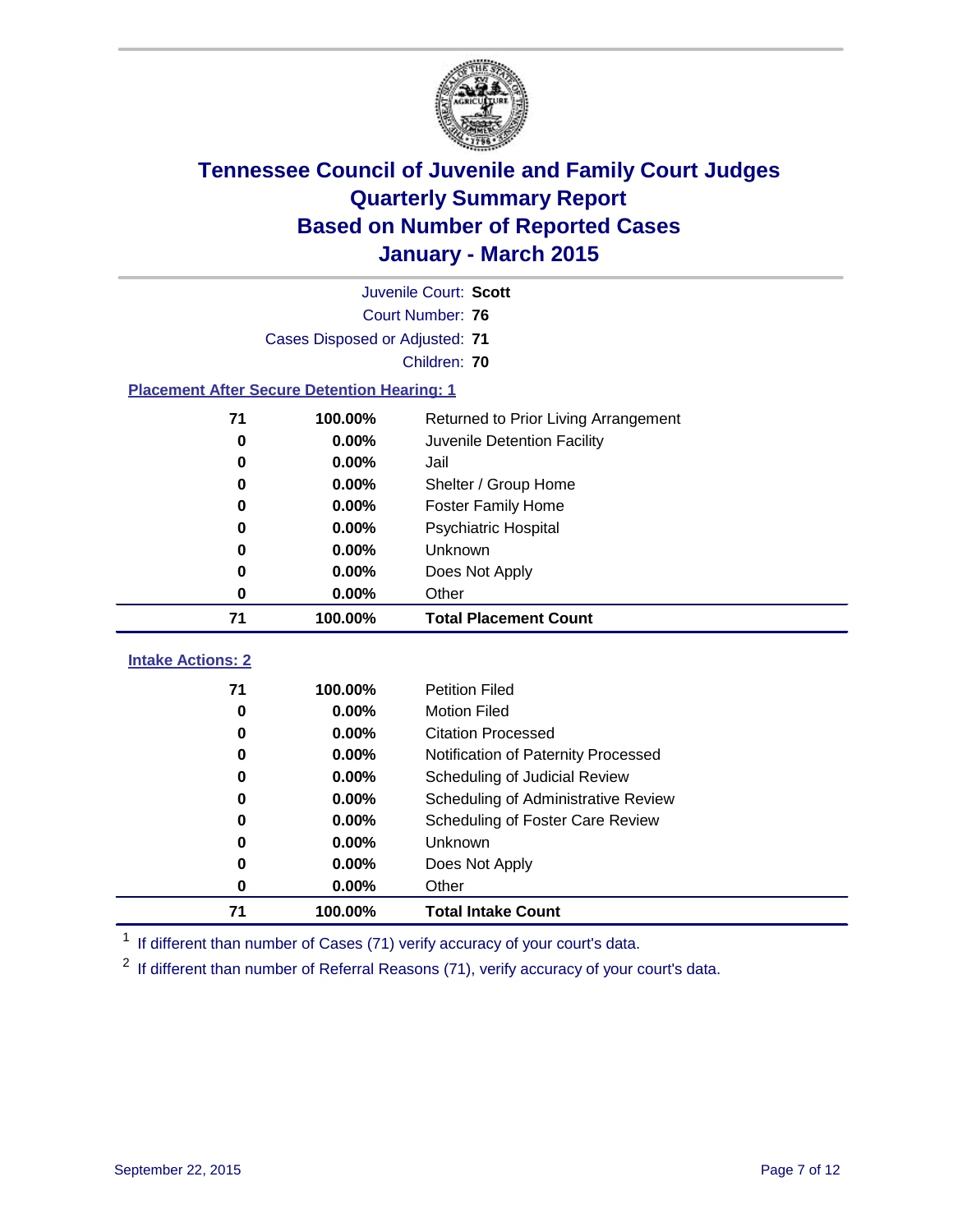

|                                                    | Juvenile Court: Scott          |                                      |  |  |
|----------------------------------------------------|--------------------------------|--------------------------------------|--|--|
|                                                    | <b>Court Number: 76</b>        |                                      |  |  |
|                                                    | Cases Disposed or Adjusted: 71 |                                      |  |  |
|                                                    |                                | Children: 70                         |  |  |
| <b>Placement After Secure Detention Hearing: 1</b> |                                |                                      |  |  |
| 71                                                 | 100.00%                        | Returned to Prior Living Arrangement |  |  |
| 0                                                  | 0.00%                          | Juvenile Detention Facility          |  |  |
| 0                                                  | 0.00%                          | Jail                                 |  |  |
| 0                                                  | 0.00%                          | Shelter / Group Home                 |  |  |
| 0                                                  | 0.00%                          | <b>Foster Family Home</b>            |  |  |
| 0                                                  | 0.00%                          | <b>Psychiatric Hospital</b>          |  |  |
| 0                                                  | 0.00%                          | Unknown                              |  |  |
| 0                                                  | 0.00%                          | Does Not Apply                       |  |  |
| 0                                                  | 0.00%                          | Other                                |  |  |
| 71                                                 | 100.00%                        | <b>Total Placement Count</b>         |  |  |
| <b>Intake Actions: 2</b>                           |                                |                                      |  |  |
| 71                                                 | 100.00%                        | <b>Petition Filed</b>                |  |  |
| 0                                                  | 0.00%                          | <b>Motion Filed</b>                  |  |  |
| 0                                                  | 0.00%                          | <b>Citation Processed</b>            |  |  |
| $\bf{0}$                                           | 0.00%                          | Notification of Paternity Processed  |  |  |
| 0                                                  | 0.00%                          | Scheduling of Judicial Review        |  |  |
| 0                                                  | 0.00%                          | Scheduling of Administrative Review  |  |  |
| 0                                                  | 0.00%                          | Scheduling of Foster Care Review     |  |  |
| 0                                                  | 0.00%                          | Unknown                              |  |  |
| 0                                                  | 0.00%                          | Does Not Apply                       |  |  |
| 0                                                  | 0.00%                          | Other                                |  |  |
| 71                                                 | 100.00%                        | <b>Total Intake Count</b>            |  |  |

<sup>1</sup> If different than number of Cases (71) verify accuracy of your court's data.

<sup>2</sup> If different than number of Referral Reasons (71), verify accuracy of your court's data.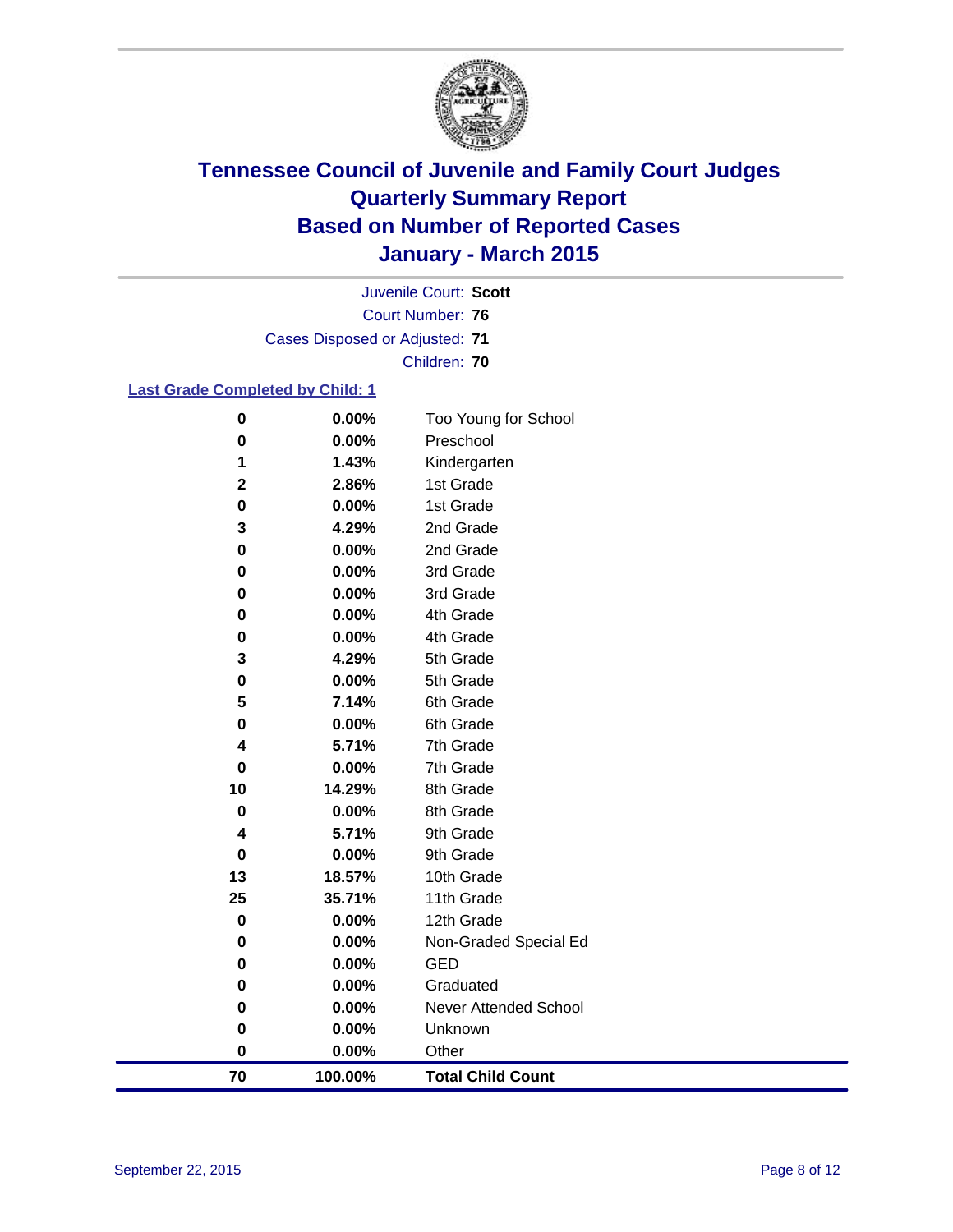

Court Number: **76** Juvenile Court: **Scott** Cases Disposed or Adjusted: **71** Children: **70**

#### **Last Grade Completed by Child: 1**

| 70     | 100.00%        | <b>Total Child Count</b> |
|--------|----------------|--------------------------|
| 0      | 0.00%          | Other                    |
| 0      | 0.00%          | Unknown                  |
| 0      | 0.00%          | Never Attended School    |
| 0      | 0.00%          | Graduated                |
| 0      | 0.00%          | <b>GED</b>               |
| 0      | 0.00%          | Non-Graded Special Ed    |
| 0      | 0.00%          | 12th Grade               |
| 25     | 35.71%         | 11th Grade               |
| 13     | 18.57%         | 10th Grade               |
| 0      | 0.00%          | 9th Grade                |
| 4      | 5.71%          | 9th Grade                |
| 0      | 0.00%          | 8th Grade                |
| 10     | 14.29%         | 8th Grade                |
| 0      | 0.00%          | 7th Grade                |
| 4      | 5.71%          | 7th Grade                |
| 0      | 0.00%          | 6th Grade                |
| 5      | 7.14%          | 6th Grade                |
| 0      | 0.00%          | 5th Grade                |
| 3      | 4.29%          | 5th Grade                |
| 0      | 0.00%          | 4th Grade                |
| 0      | 0.00%          | 4th Grade                |
| 0      | 0.00%          | 3rd Grade                |
| 0<br>0 | 0.00%<br>0.00% | 2nd Grade<br>3rd Grade   |
| 3      | 4.29%          |                          |
| 0      | 0.00%          | 1st Grade<br>2nd Grade   |
| 2      | 2.86%          | 1st Grade                |
| 1      | 1.43%          | Kindergarten             |
| 0      | 0.00%          | Preschool                |
| 0      | 0.00%          | Too Young for School     |
|        |                |                          |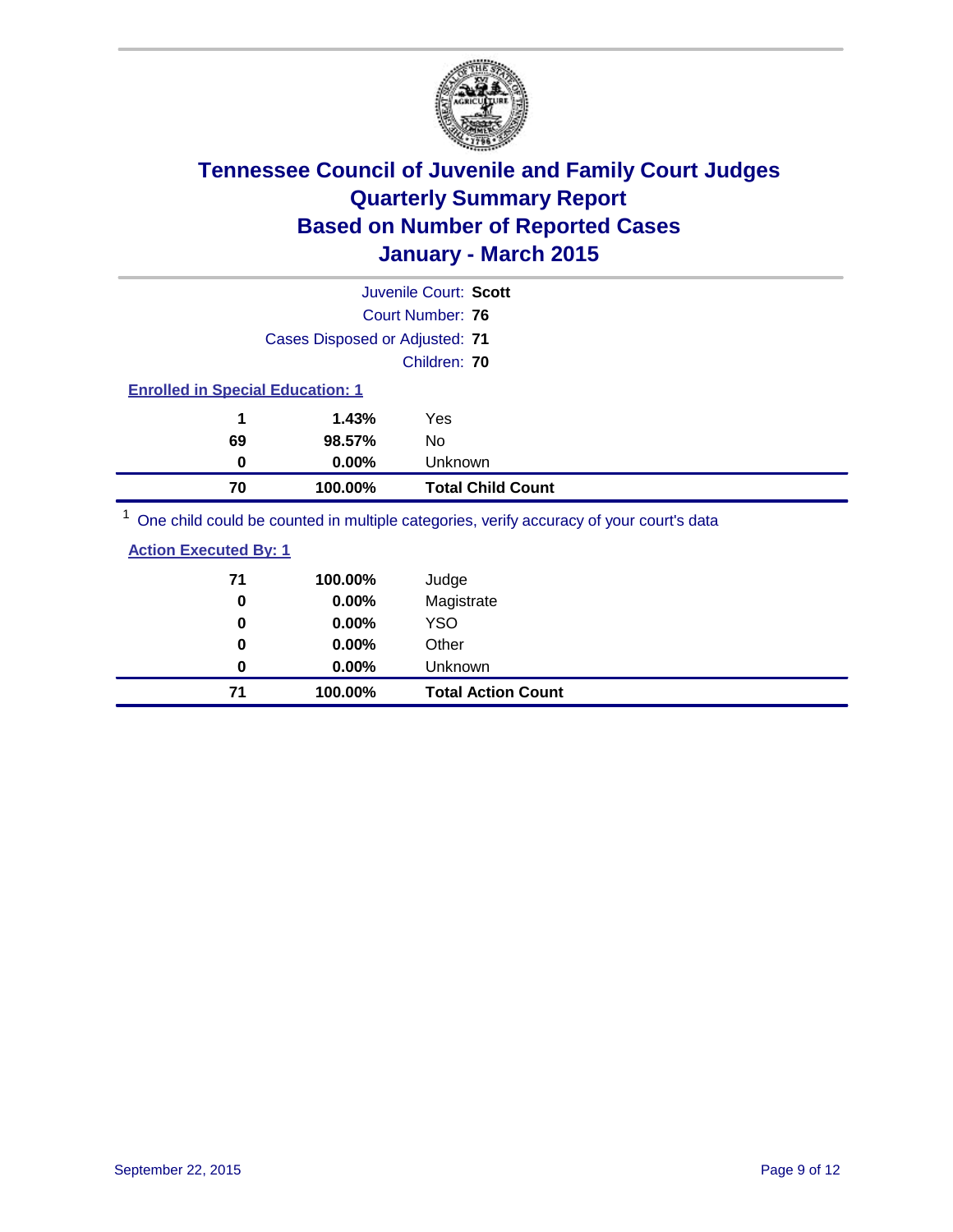

|                                         |                                | Juvenile Court: Scott                                                                               |
|-----------------------------------------|--------------------------------|-----------------------------------------------------------------------------------------------------|
|                                         |                                | Court Number: 76                                                                                    |
|                                         | Cases Disposed or Adjusted: 71 |                                                                                                     |
|                                         |                                | Children: 70                                                                                        |
| <b>Enrolled in Special Education: 1</b> |                                |                                                                                                     |
| 1                                       | 1.43%                          | Yes                                                                                                 |
| 69                                      | 98.57%                         | No                                                                                                  |
| 0                                       | $0.00\%$                       | Unknown                                                                                             |
| 70                                      | 100.00%                        | <b>Total Child Count</b>                                                                            |
|                                         |                                | $\frac{1}{2}$ One obild equid be counted in multiple estegation verify conveny of your courtle data |

<sup>1</sup> One child could be counted in multiple categories, verify accuracy of your court's data

|--|

| 71 | 100.00%  | Judge                     |
|----|----------|---------------------------|
| 0  | 0.00%    | Magistrate                |
| 0  | $0.00\%$ | <b>YSO</b>                |
| 0  | $0.00\%$ | Other                     |
| 0  | $0.00\%$ | Unknown                   |
| 71 | 100.00%  | <b>Total Action Count</b> |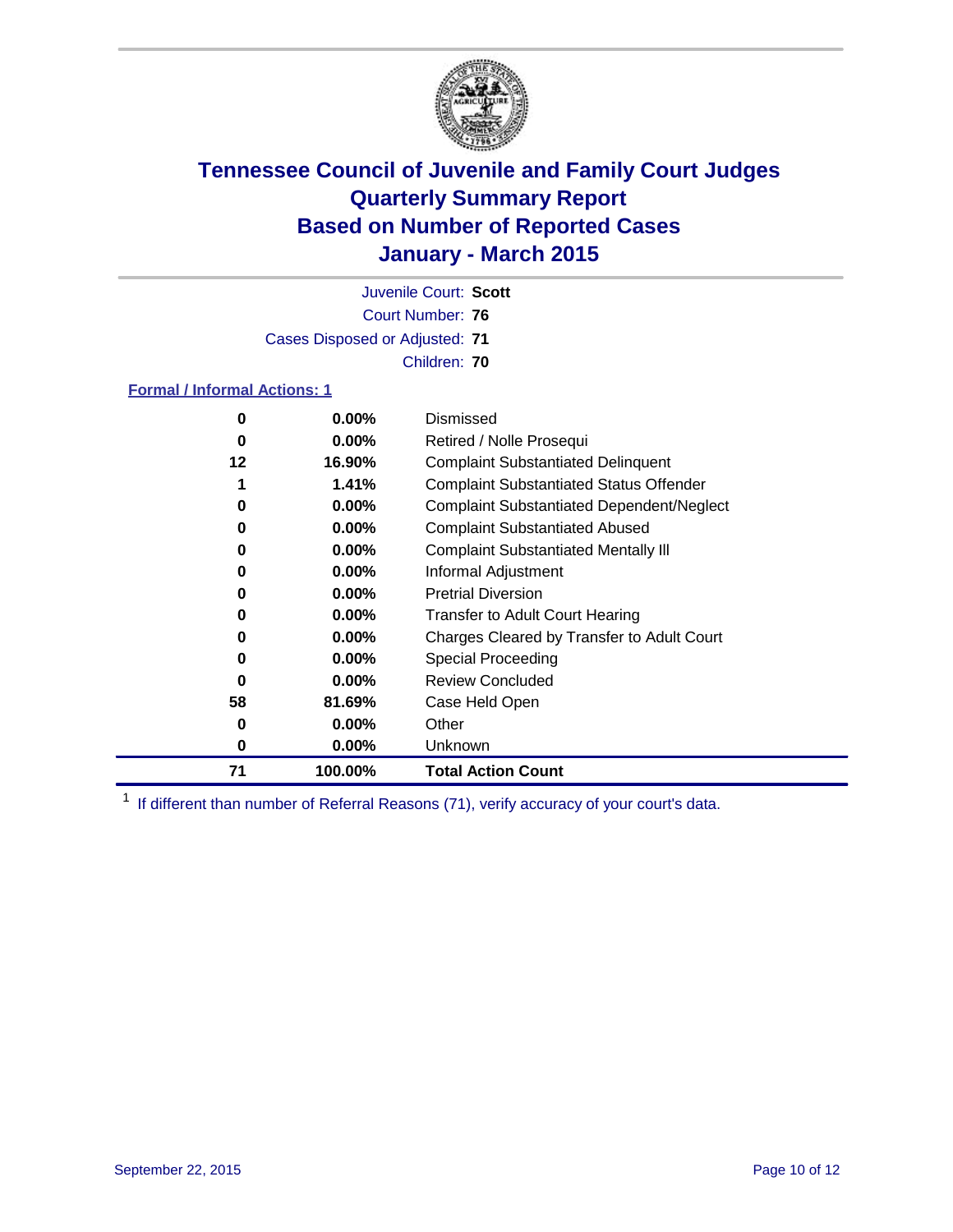

Court Number: **76** Juvenile Court: **Scott** Cases Disposed or Adjusted: **71** Children: **70**

#### **Formal / Informal Actions: 1**

| 0  | $0.00\%$ | Dismissed                                        |
|----|----------|--------------------------------------------------|
| 0  | $0.00\%$ | Retired / Nolle Prosequi                         |
| 12 | 16.90%   | <b>Complaint Substantiated Delinquent</b>        |
|    | 1.41%    | <b>Complaint Substantiated Status Offender</b>   |
| 0  | $0.00\%$ | <b>Complaint Substantiated Dependent/Neglect</b> |
| 0  | $0.00\%$ | <b>Complaint Substantiated Abused</b>            |
| 0  | $0.00\%$ | <b>Complaint Substantiated Mentally III</b>      |
| 0  | $0.00\%$ | Informal Adjustment                              |
| 0  | $0.00\%$ | <b>Pretrial Diversion</b>                        |
| 0  | $0.00\%$ | <b>Transfer to Adult Court Hearing</b>           |
| 0  | $0.00\%$ | Charges Cleared by Transfer to Adult Court       |
| 0  | $0.00\%$ | Special Proceeding                               |
| 0  | $0.00\%$ | <b>Review Concluded</b>                          |
| 58 | 81.69%   | Case Held Open                                   |
| 0  | $0.00\%$ | Other                                            |
| 0  | $0.00\%$ | Unknown                                          |
| 71 | 100.00%  | <b>Total Action Count</b>                        |

<sup>1</sup> If different than number of Referral Reasons (71), verify accuracy of your court's data.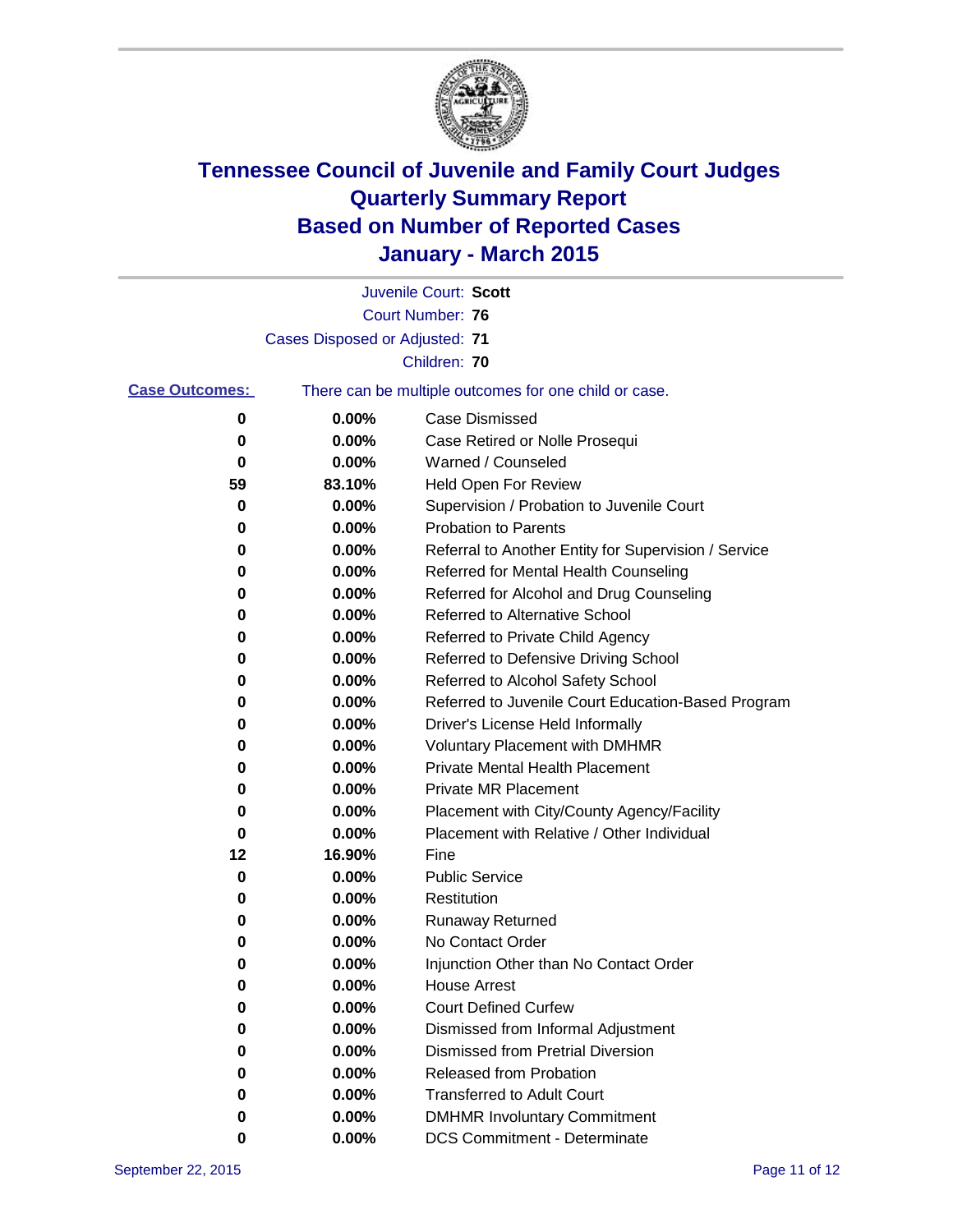

|                       |                                | Juvenile Court: Scott                                 |
|-----------------------|--------------------------------|-------------------------------------------------------|
|                       |                                | <b>Court Number: 76</b>                               |
|                       | Cases Disposed or Adjusted: 71 |                                                       |
|                       |                                | Children: 70                                          |
| <b>Case Outcomes:</b> |                                | There can be multiple outcomes for one child or case. |
| 0                     | 0.00%                          | <b>Case Dismissed</b>                                 |
| 0                     | 0.00%                          | Case Retired or Nolle Prosequi                        |
| 0                     | 0.00%                          | Warned / Counseled                                    |
| 59                    | 83.10%                         | Held Open For Review                                  |
| 0                     | 0.00%                          | Supervision / Probation to Juvenile Court             |
| 0                     | 0.00%                          | <b>Probation to Parents</b>                           |
| 0                     | 0.00%                          | Referral to Another Entity for Supervision / Service  |
| 0                     | 0.00%                          | Referred for Mental Health Counseling                 |
| 0                     | 0.00%                          | Referred for Alcohol and Drug Counseling              |
| 0                     | 0.00%                          | Referred to Alternative School                        |
| 0                     | 0.00%                          | Referred to Private Child Agency                      |
| 0                     | 0.00%                          | Referred to Defensive Driving School                  |
| 0                     | 0.00%                          | Referred to Alcohol Safety School                     |
| 0                     | 0.00%                          | Referred to Juvenile Court Education-Based Program    |
| 0                     | 0.00%                          | Driver's License Held Informally                      |
| 0                     | 0.00%                          | <b>Voluntary Placement with DMHMR</b>                 |
| 0                     | 0.00%                          | <b>Private Mental Health Placement</b>                |
| 0                     | 0.00%                          | Private MR Placement                                  |
| 0                     | 0.00%                          | Placement with City/County Agency/Facility            |
| 0                     | 0.00%                          | Placement with Relative / Other Individual            |
| 12                    | 16.90%                         | Fine                                                  |
| 0                     | 0.00%                          | <b>Public Service</b>                                 |
| 0                     | 0.00%                          | Restitution                                           |
| 0                     | 0.00%                          | <b>Runaway Returned</b>                               |
| 0                     | 0.00%                          | No Contact Order                                      |
| 0                     | 0.00%                          | Injunction Other than No Contact Order                |
| 0                     | 0.00%                          | <b>House Arrest</b>                                   |
| 0                     | 0.00%                          | <b>Court Defined Curfew</b>                           |
| 0                     | 0.00%                          | Dismissed from Informal Adjustment                    |
| 0                     | 0.00%                          | <b>Dismissed from Pretrial Diversion</b>              |
| 0                     | 0.00%                          | Released from Probation                               |
| 0                     | 0.00%                          | <b>Transferred to Adult Court</b>                     |
| 0                     | 0.00%                          | <b>DMHMR Involuntary Commitment</b>                   |
| 0                     | $0.00\%$                       | <b>DCS Commitment - Determinate</b>                   |